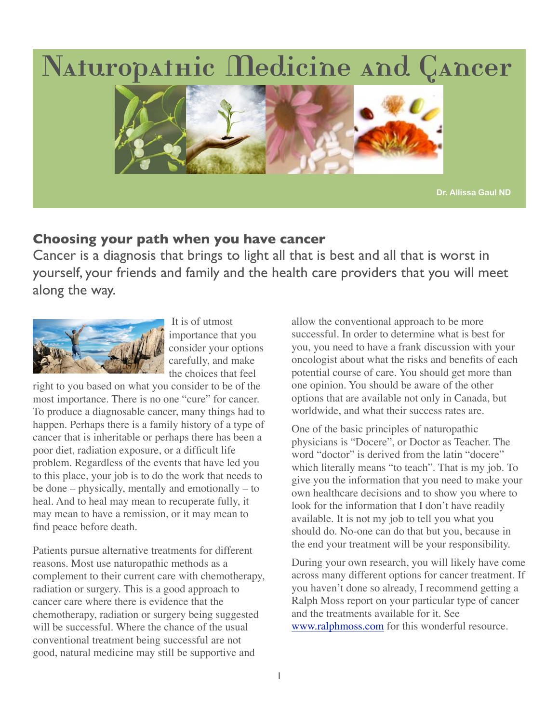# Naturopathic Medicine and Cancer



**Dr. Allissa Gaul ND**

## **Choosing your path when you have cancer**

Cancer is a diagnosis that brings to light all that is best and all that is worst in yourself, your friends and family and the health care providers that you will meet along the way.



 It is of utmost importance that you consider your options carefully, and make the choices that feel

right to you based on what you consider to be of the most importance. There is no one "cure" for cancer. To produce a diagnosable cancer, many things had to happen. Perhaps there is a family history of a type of cancer that is inheritable or perhaps there has been a poor diet, radiation exposure, or a difficult life problem. Regardless of the events that have led you to this place, your job is to do the work that needs to be done – physically, mentally and emotionally – to heal. And to heal may mean to recuperate fully, it may mean to have a remission, or it may mean to find peace before death.

Patients pursue alternative treatments for different reasons. Most use naturopathic methods as a complement to their current care with chemotherapy, radiation or surgery. This is a good approach to cancer care where there is evidence that the chemotherapy, radiation or surgery being suggested will be successful. Where the chance of the usual conventional treatment being successful are not good, natural medicine may still be supportive and

allow the conventional approach to be more successful. In order to determine what is best for you, you need to have a frank discussion with your oncologist about what the risks and benefits of each potential course of care. You should get more than one opinion. You should be aware of the other options that are available not only in Canada, but worldwide, and what their success rates are.

One of the basic principles of naturopathic physicians is "Docere", or Doctor as Teacher. The word "doctor" is derived from the latin "docere" which literally means "to teach". That is my job. To give you the information that you need to make your own healthcare decisions and to show you where to look for the information that I don't have readily available. It is not my job to tell you what you should do. No-one can do that but you, because in the end your treatment will be your responsibility.

During your own research, you will likely have come across many different options for cancer treatment. If you haven't done so already, I recommend getting a Ralph Moss report on your particular type of cancer and the treatments available for it. See [www.ralphmoss.com](http://www.ralphmoss.com) for this wonderful resource.